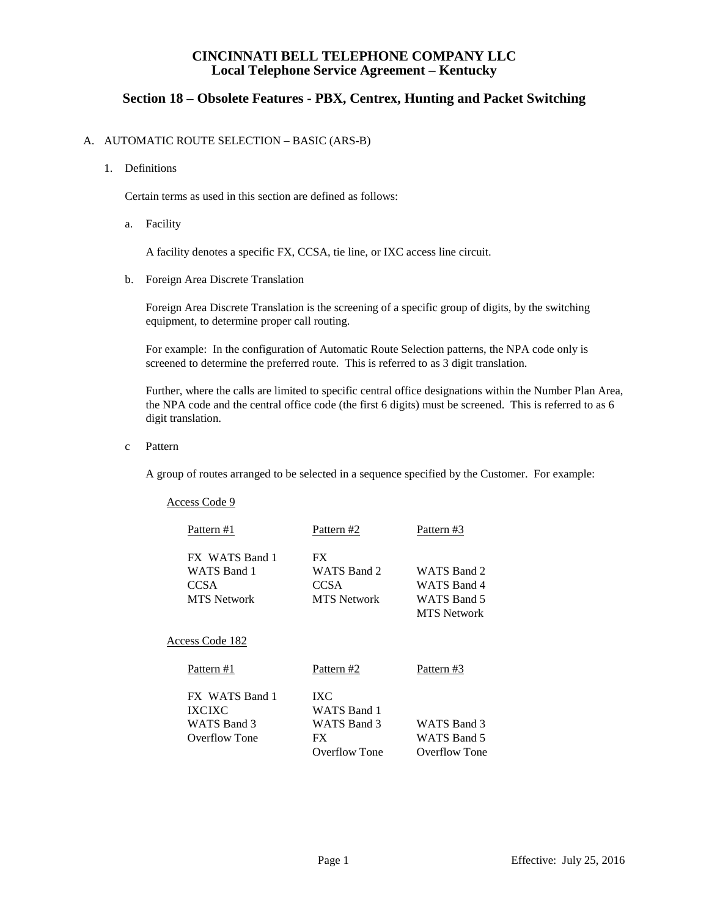# **Section 18 – Obsolete Features - PBX, Centrex, Hunting and Packet Switching**

### A. AUTOMATIC ROUTE SELECTION – BASIC (ARS-B)

#### 1. Definitions

Certain terms as used in this section are defined as follows:

a. Facility

A facility denotes a specific FX, CCSA, tie line, or IXC access line circuit.

b. Foreign Area Discrete Translation

Foreign Area Discrete Translation is the screening of a specific group of digits, by the switching equipment, to determine proper call routing.

For example: In the configuration of Automatic Route Selection patterns, the NPA code only is screened to determine the preferred route. This is referred to as 3 digit translation.

Further, where the calls are limited to specific central office designations within the Number Plan Area, the NPA code and the central office code (the first 6 digits) must be screened. This is referred to as 6 digit translation.

c Pattern

A group of routes arranged to be selected in a sequence specified by the Customer. For example:

| Access Code 9      |                    |                      |
|--------------------|--------------------|----------------------|
| Pattern #1         | Pattern #2         | Pattern #3           |
| FX WATS Band 1     | FX.                |                      |
| WATS Band 1        | WATS Band 2        | WATS Band 2          |
| <b>CCSA</b>        | <b>CCSA</b>        | WATS Band 4          |
| <b>MTS</b> Network | <b>MTS</b> Network | WATS Band 5          |
|                    |                    | <b>MTS</b> Network   |
| Access Code 182    |                    |                      |
| Pattern #1         | Pattern #2         | Pattern #3           |
| FX WATS Band 1     | IXC                |                      |
| <b>IXCIXC</b>      | <b>WATS Band 1</b> |                      |
| WATS Band 3        | WATS Band 3        | WATS Band 3          |
| Overflow Tone      | FX                 | WATS Band 5          |
|                    | Overflow Tone      | <b>Overflow Tone</b> |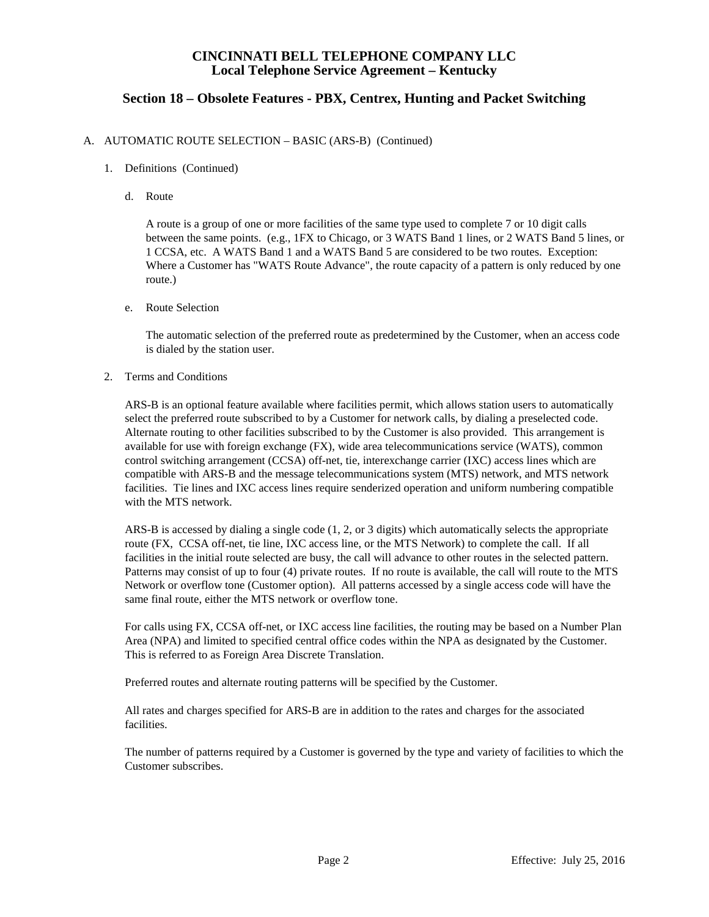# **Section 18 – Obsolete Features - PBX, Centrex, Hunting and Packet Switching**

#### A. AUTOMATIC ROUTE SELECTION – BASIC (ARS-B) (Continued)

- 1. Definitions (Continued)
	- d. Route

A route is a group of one or more facilities of the same type used to complete 7 or 10 digit calls between the same points. (e.g., 1FX to Chicago, or 3 WATS Band 1 lines, or 2 WATS Band 5 lines, or 1 CCSA, etc. A WATS Band 1 and a WATS Band 5 are considered to be two routes. Exception: Where a Customer has "WATS Route Advance", the route capacity of a pattern is only reduced by one route.)

e. Route Selection

The automatic selection of the preferred route as predetermined by the Customer, when an access code is dialed by the station user.

2. Terms and Conditions

ARS-B is an optional feature available where facilities permit, which allows station users to automatically select the preferred route subscribed to by a Customer for network calls, by dialing a preselected code. Alternate routing to other facilities subscribed to by the Customer is also provided. This arrangement is available for use with foreign exchange (FX), wide area telecommunications service (WATS), common control switching arrangement (CCSA) off-net, tie, interexchange carrier (IXC) access lines which are compatible with ARS-B and the message telecommunications system (MTS) network, and MTS network facilities. Tie lines and IXC access lines require senderized operation and uniform numbering compatible with the MTS network.

ARS-B is accessed by dialing a single code (1, 2, or 3 digits) which automatically selects the appropriate route (FX, CCSA off-net, tie line, IXC access line, or the MTS Network) to complete the call. If all facilities in the initial route selected are busy, the call will advance to other routes in the selected pattern. Patterns may consist of up to four (4) private routes. If no route is available, the call will route to the MTS Network or overflow tone (Customer option). All patterns accessed by a single access code will have the same final route, either the MTS network or overflow tone.

For calls using FX, CCSA off-net, or IXC access line facilities, the routing may be based on a Number Plan Area (NPA) and limited to specified central office codes within the NPA as designated by the Customer. This is referred to as Foreign Area Discrete Translation.

Preferred routes and alternate routing patterns will be specified by the Customer.

All rates and charges specified for ARS-B are in addition to the rates and charges for the associated facilities.

The number of patterns required by a Customer is governed by the type and variety of facilities to which the Customer subscribes.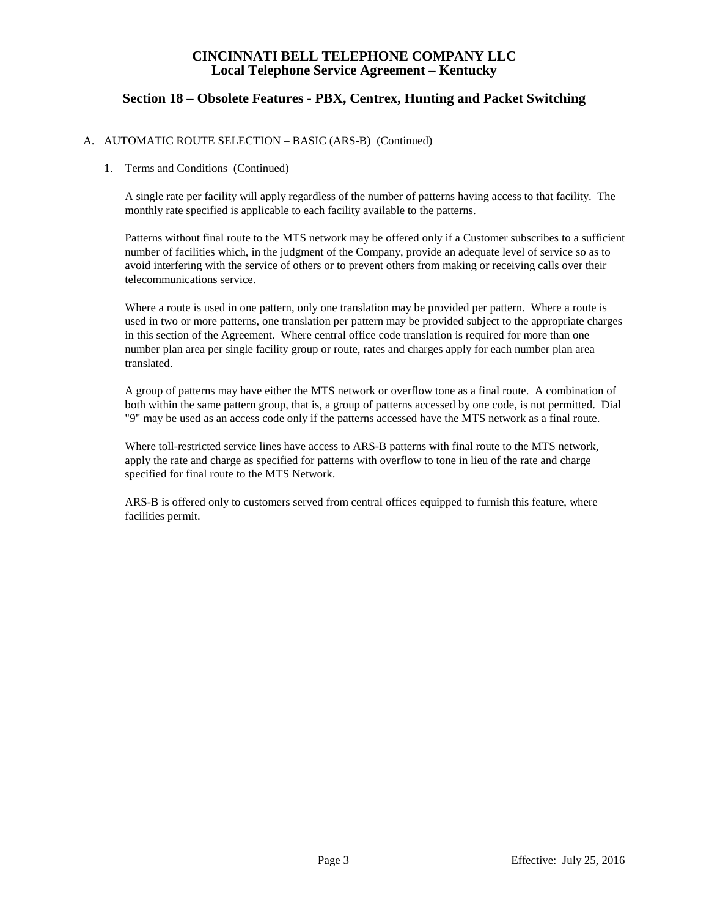# **Section 18 – Obsolete Features - PBX, Centrex, Hunting and Packet Switching**

### A. AUTOMATIC ROUTE SELECTION – BASIC (ARS-B) (Continued)

#### 1. Terms and Conditions (Continued)

A single rate per facility will apply regardless of the number of patterns having access to that facility. The monthly rate specified is applicable to each facility available to the patterns.

Patterns without final route to the MTS network may be offered only if a Customer subscribes to a sufficient number of facilities which, in the judgment of the Company, provide an adequate level of service so as to avoid interfering with the service of others or to prevent others from making or receiving calls over their telecommunications service.

Where a route is used in one pattern, only one translation may be provided per pattern. Where a route is used in two or more patterns, one translation per pattern may be provided subject to the appropriate charges in this section of the Agreement. Where central office code translation is required for more than one number plan area per single facility group or route, rates and charges apply for each number plan area translated.

A group of patterns may have either the MTS network or overflow tone as a final route. A combination of both within the same pattern group, that is, a group of patterns accessed by one code, is not permitted. Dial "9" may be used as an access code only if the patterns accessed have the MTS network as a final route.

Where toll-restricted service lines have access to ARS-B patterns with final route to the MTS network, apply the rate and charge as specified for patterns with overflow to tone in lieu of the rate and charge specified for final route to the MTS Network.

ARS-B is offered only to customers served from central offices equipped to furnish this feature, where facilities permit.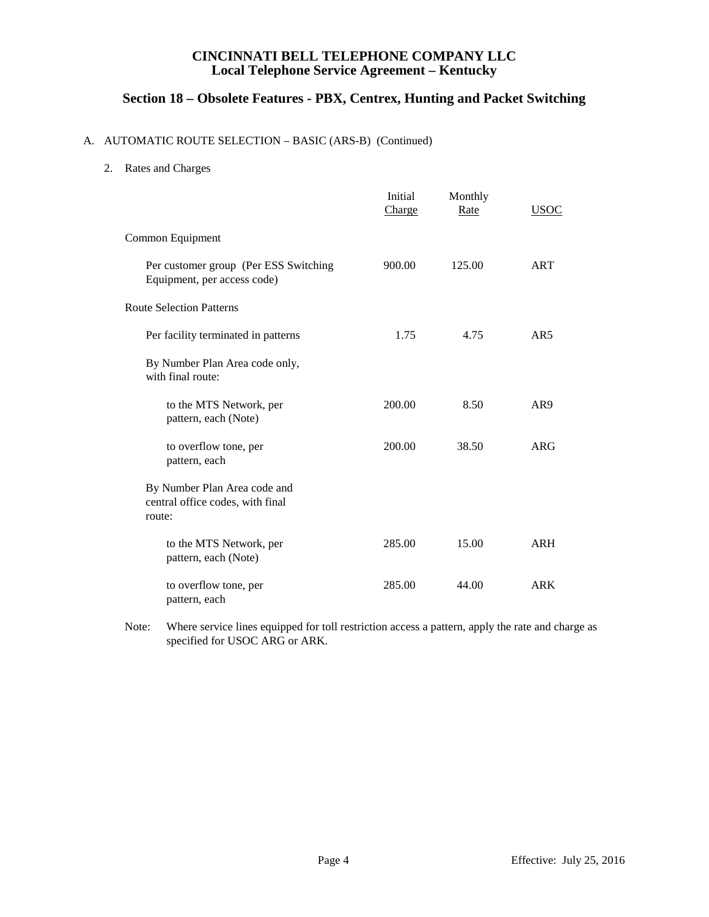# **Section 18 – Obsolete Features - PBX, Centrex, Hunting and Packet Switching**

## A. AUTOMATIC ROUTE SELECTION – BASIC (ARS-B) (Continued)

2. Rates and Charges

|                                                                            | Initial<br>Charge | Monthly<br>Rate | <u>USOC</u>     |
|----------------------------------------------------------------------------|-------------------|-----------------|-----------------|
| Common Equipment                                                           |                   |                 |                 |
| Per customer group (Per ESS Switching<br>Equipment, per access code)       | 900.00            | 125.00          | <b>ART</b>      |
| <b>Route Selection Patterns</b>                                            |                   |                 |                 |
| Per facility terminated in patterns                                        | 1.75              | 4.75            | AR <sub>5</sub> |
| By Number Plan Area code only,<br>with final route:                        |                   |                 |                 |
| to the MTS Network, per<br>pattern, each (Note)                            | 200.00            | 8.50            | AR <sub>9</sub> |
| to overflow tone, per<br>pattern, each                                     | 200.00            | 38.50           | ARG             |
| By Number Plan Area code and<br>central office codes, with final<br>route: |                   |                 |                 |
| to the MTS Network, per<br>pattern, each (Note)                            | 285.00            | 15.00           | <b>ARH</b>      |
| to overflow tone, per<br>pattern, each                                     | 285.00            | 44.00           | <b>ARK</b>      |

Note: Where service lines equipped for toll restriction access a pattern, apply the rate and charge as specified for USOC ARG or ARK.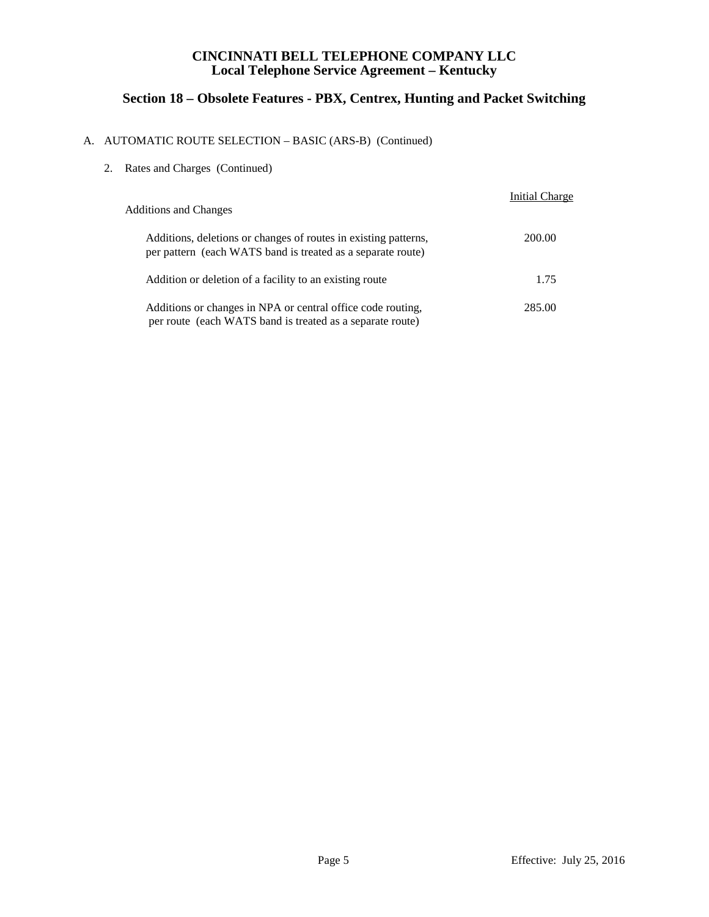# **Section 18 – Obsolete Features - PBX, Centrex, Hunting and Packet Switching**

# A. AUTOMATIC ROUTE SELECTION – BASIC (ARS-B) (Continued)

| 2. |  |  |  | Rates and Charges (Continued) |  |
|----|--|--|--|-------------------------------|--|
|----|--|--|--|-------------------------------|--|

| <b>Additions and Changes</b>                                                                                                   | <b>Initial Charge</b> |
|--------------------------------------------------------------------------------------------------------------------------------|-----------------------|
| Additions, deletions or changes of routes in existing patterns,<br>per pattern (each WATS band is treated as a separate route) | 200.00                |
| Addition or deletion of a facility to an existing route                                                                        | 1.75                  |
| Additions or changes in NPA or central office code routing,<br>per route (each WATS band is treated as a separate route)       | 285.00                |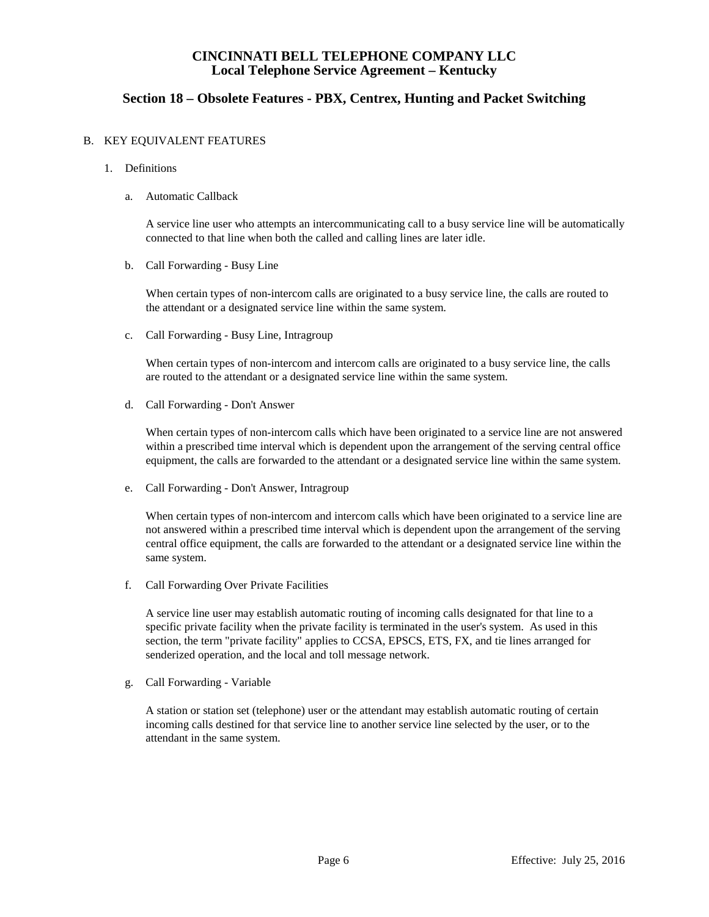# **Section 18 – Obsolete Features - PBX, Centrex, Hunting and Packet Switching**

#### B. KEY EQUIVALENT FEATURES

- 1. Definitions
	- a. Automatic Callback

A service line user who attempts an intercommunicating call to a busy service line will be automatically connected to that line when both the called and calling lines are later idle.

b. Call Forwarding - Busy Line

When certain types of non-intercom calls are originated to a busy service line, the calls are routed to the attendant or a designated service line within the same system.

c. Call Forwarding - Busy Line, Intragroup

When certain types of non-intercom and intercom calls are originated to a busy service line, the calls are routed to the attendant or a designated service line within the same system.

d. Call Forwarding - Don't Answer

When certain types of non-intercom calls which have been originated to a service line are not answered within a prescribed time interval which is dependent upon the arrangement of the serving central office equipment, the calls are forwarded to the attendant or a designated service line within the same system.

e. Call Forwarding - Don't Answer, Intragroup

When certain types of non-intercom and intercom calls which have been originated to a service line are not answered within a prescribed time interval which is dependent upon the arrangement of the serving central office equipment, the calls are forwarded to the attendant or a designated service line within the same system.

f. Call Forwarding Over Private Facilities

A service line user may establish automatic routing of incoming calls designated for that line to a specific private facility when the private facility is terminated in the user's system. As used in this section, the term "private facility" applies to CCSA, EPSCS, ETS, FX, and tie lines arranged for senderized operation, and the local and toll message network.

g. Call Forwarding - Variable

A station or station set (telephone) user or the attendant may establish automatic routing of certain incoming calls destined for that service line to another service line selected by the user, or to the attendant in the same system.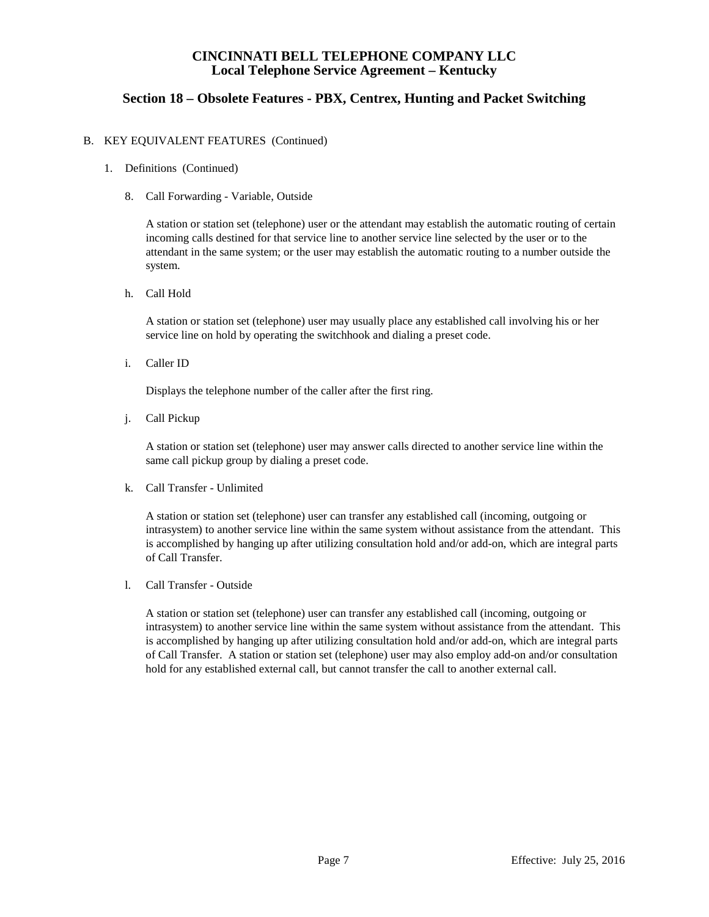# **Section 18 – Obsolete Features - PBX, Centrex, Hunting and Packet Switching**

#### B. KEY EQUIVALENT FEATURES (Continued)

- 1. Definitions (Continued)
	- 8. Call Forwarding Variable, Outside

A station or station set (telephone) user or the attendant may establish the automatic routing of certain incoming calls destined for that service line to another service line selected by the user or to the attendant in the same system; or the user may establish the automatic routing to a number outside the system.

h. Call Hold

A station or station set (telephone) user may usually place any established call involving his or her service line on hold by operating the switchhook and dialing a preset code.

i. Caller ID

Displays the telephone number of the caller after the first ring.

j. Call Pickup

A station or station set (telephone) user may answer calls directed to another service line within the same call pickup group by dialing a preset code.

k. Call Transfer - Unlimited

A station or station set (telephone) user can transfer any established call (incoming, outgoing or intrasystem) to another service line within the same system without assistance from the attendant. This is accomplished by hanging up after utilizing consultation hold and/or add-on, which are integral parts of Call Transfer.

l. Call Transfer - Outside

A station or station set (telephone) user can transfer any established call (incoming, outgoing or intrasystem) to another service line within the same system without assistance from the attendant. This is accomplished by hanging up after utilizing consultation hold and/or add-on, which are integral parts of Call Transfer. A station or station set (telephone) user may also employ add-on and/or consultation hold for any established external call, but cannot transfer the call to another external call.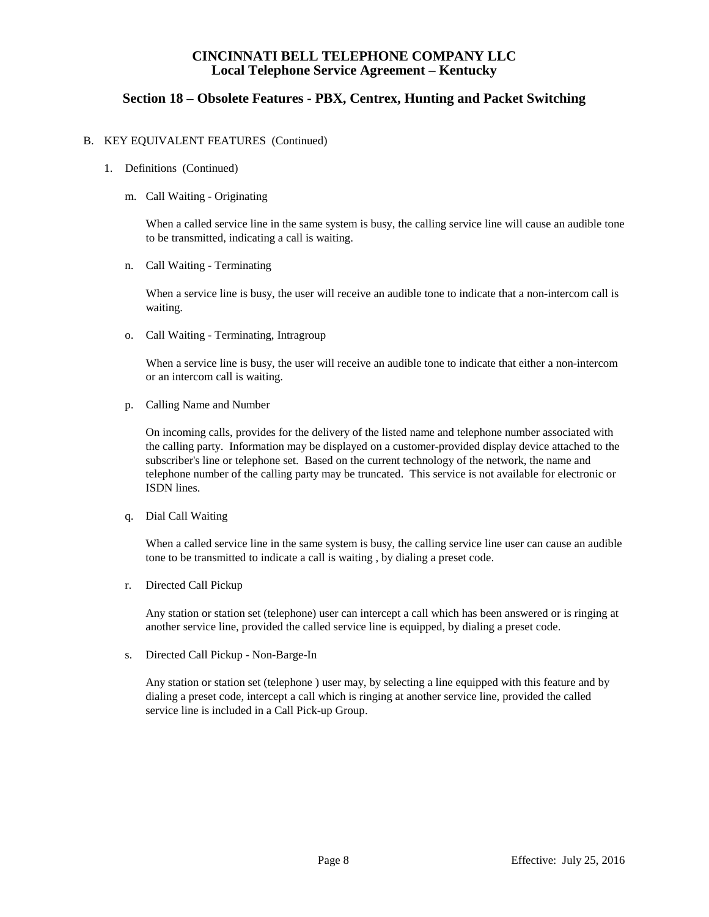# **Section 18 – Obsolete Features - PBX, Centrex, Hunting and Packet Switching**

#### B. KEY EQUIVALENT FEATURES (Continued)

- 1. Definitions (Continued)
	- m. Call Waiting Originating

When a called service line in the same system is busy, the calling service line will cause an audible tone to be transmitted, indicating a call is waiting.

n. Call Waiting - Terminating

When a service line is busy, the user will receive an audible tone to indicate that a non-intercom call is waiting.

o. Call Waiting - Terminating, Intragroup

When a service line is busy, the user will receive an audible tone to indicate that either a non-intercom or an intercom call is waiting.

p. Calling Name and Number

On incoming calls, provides for the delivery of the listed name and telephone number associated with the calling party. Information may be displayed on a customer-provided display device attached to the subscriber's line or telephone set. Based on the current technology of the network, the name and telephone number of the calling party may be truncated. This service is not available for electronic or ISDN lines.

q. Dial Call Waiting

When a called service line in the same system is busy, the calling service line user can cause an audible tone to be transmitted to indicate a call is waiting , by dialing a preset code.

r. Directed Call Pickup

Any station or station set (telephone) user can intercept a call which has been answered or is ringing at another service line, provided the called service line is equipped, by dialing a preset code.

s. Directed Call Pickup - Non-Barge-In

Any station or station set (telephone ) user may, by selecting a line equipped with this feature and by dialing a preset code, intercept a call which is ringing at another service line, provided the called service line is included in a Call Pick-up Group.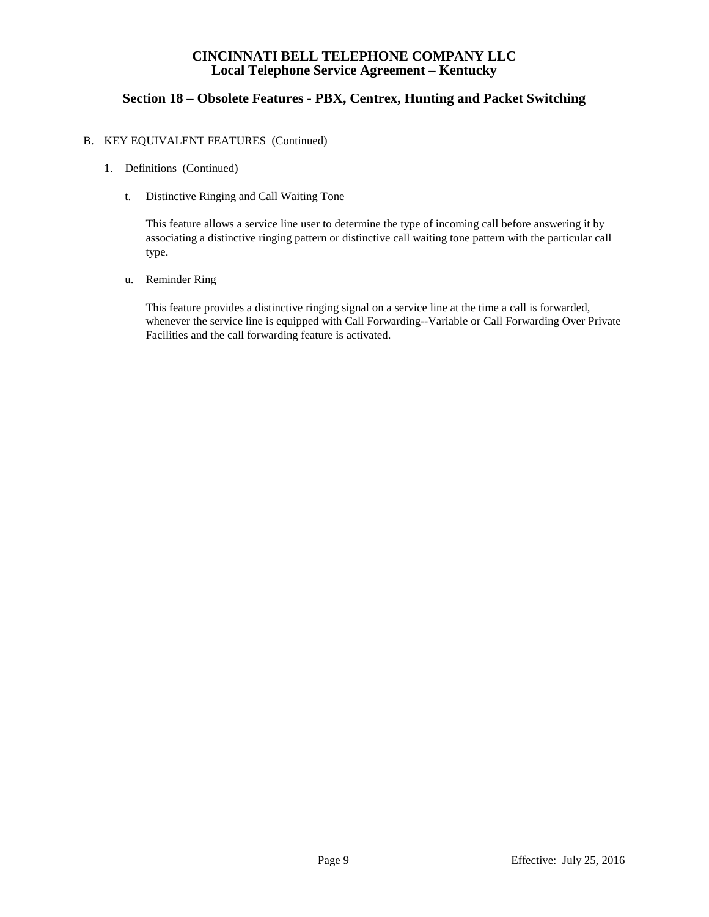# **Section 18 – Obsolete Features - PBX, Centrex, Hunting and Packet Switching**

#### B. KEY EQUIVALENT FEATURES (Continued)

- 1. Definitions (Continued)
	- t. Distinctive Ringing and Call Waiting Tone

This feature allows a service line user to determine the type of incoming call before answering it by associating a distinctive ringing pattern or distinctive call waiting tone pattern with the particular call type.

u. Reminder Ring

This feature provides a distinctive ringing signal on a service line at the time a call is forwarded, whenever the service line is equipped with Call Forwarding--Variable or Call Forwarding Over Private Facilities and the call forwarding feature is activated.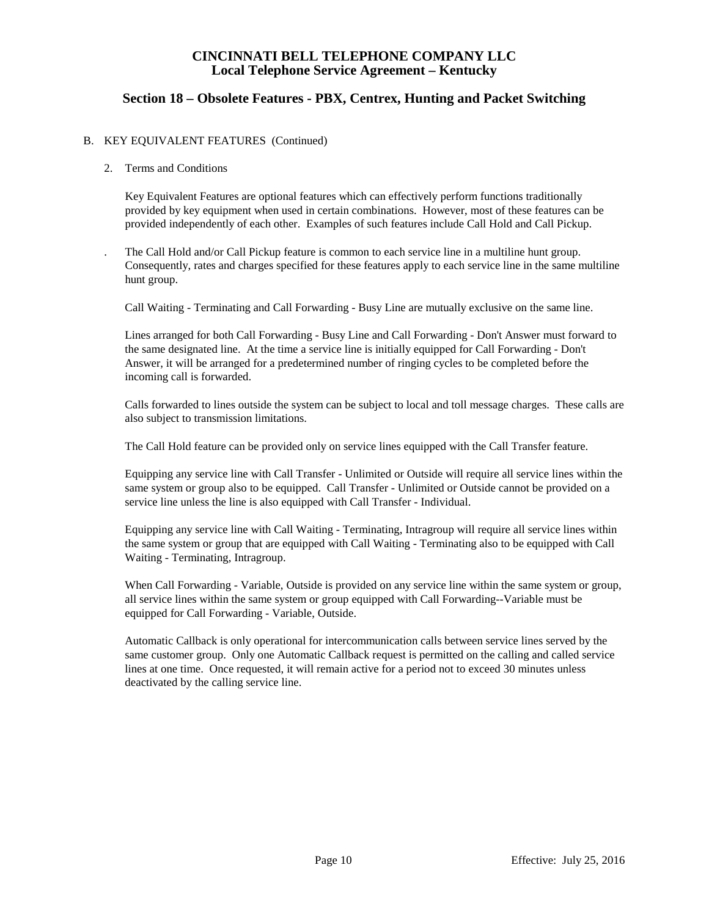## **Section 18 – Obsolete Features - PBX, Centrex, Hunting and Packet Switching**

### B. KEY EQUIVALENT FEATURES (Continued)

#### 2. Terms and Conditions

Key Equivalent Features are optional features which can effectively perform functions traditionally provided by key equipment when used in certain combinations. However, most of these features can be provided independently of each other. Examples of such features include Call Hold and Call Pickup.

. The Call Hold and/or Call Pickup feature is common to each service line in a multiline hunt group. Consequently, rates and charges specified for these features apply to each service line in the same multiline hunt group.

Call Waiting - Terminating and Call Forwarding - Busy Line are mutually exclusive on the same line.

Lines arranged for both Call Forwarding - Busy Line and Call Forwarding - Don't Answer must forward to the same designated line. At the time a service line is initially equipped for Call Forwarding - Don't Answer, it will be arranged for a predetermined number of ringing cycles to be completed before the incoming call is forwarded.

Calls forwarded to lines outside the system can be subject to local and toll message charges. These calls are also subject to transmission limitations.

The Call Hold feature can be provided only on service lines equipped with the Call Transfer feature.

Equipping any service line with Call Transfer - Unlimited or Outside will require all service lines within the same system or group also to be equipped. Call Transfer - Unlimited or Outside cannot be provided on a service line unless the line is also equipped with Call Transfer - Individual.

Equipping any service line with Call Waiting - Terminating, Intragroup will require all service lines within the same system or group that are equipped with Call Waiting - Terminating also to be equipped with Call Waiting - Terminating, Intragroup.

When Call Forwarding - Variable, Outside is provided on any service line within the same system or group, all service lines within the same system or group equipped with Call Forwarding--Variable must be equipped for Call Forwarding - Variable, Outside.

Automatic Callback is only operational for intercommunication calls between service lines served by the same customer group. Only one Automatic Callback request is permitted on the calling and called service lines at one time. Once requested, it will remain active for a period not to exceed 30 minutes unless deactivated by the calling service line.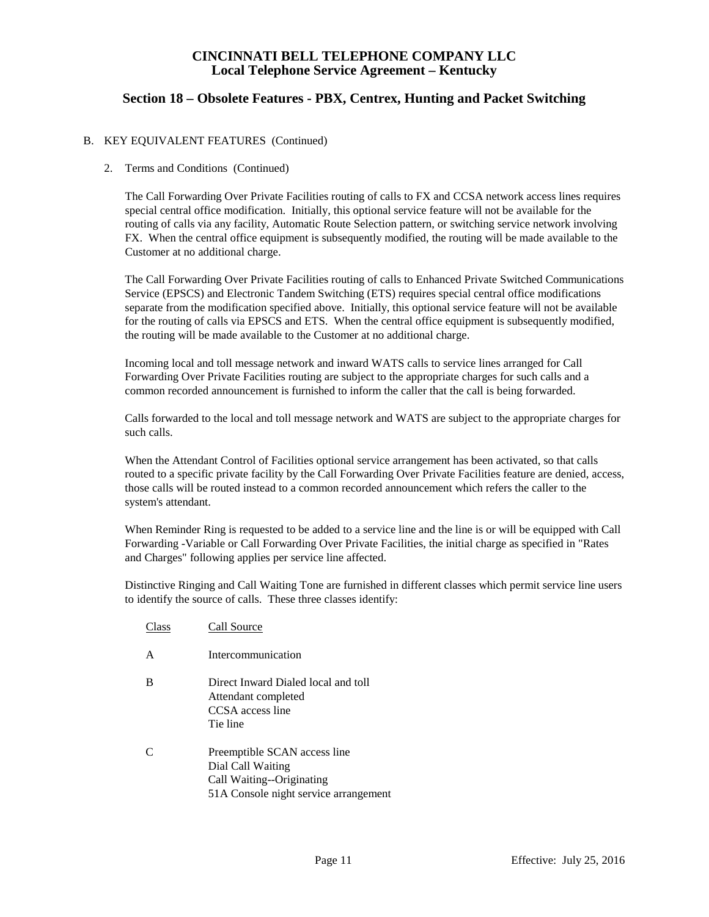# **Section 18 – Obsolete Features - PBX, Centrex, Hunting and Packet Switching**

### B. KEY EQUIVALENT FEATURES (Continued)

#### 2. Terms and Conditions (Continued)

The Call Forwarding Over Private Facilities routing of calls to FX and CCSA network access lines requires special central office modification. Initially, this optional service feature will not be available for the routing of calls via any facility, Automatic Route Selection pattern, or switching service network involving FX. When the central office equipment is subsequently modified, the routing will be made available to the Customer at no additional charge.

The Call Forwarding Over Private Facilities routing of calls to Enhanced Private Switched Communications Service (EPSCS) and Electronic Tandem Switching (ETS) requires special central office modifications separate from the modification specified above. Initially, this optional service feature will not be available for the routing of calls via EPSCS and ETS. When the central office equipment is subsequently modified, the routing will be made available to the Customer at no additional charge.

Incoming local and toll message network and inward WATS calls to service lines arranged for Call Forwarding Over Private Facilities routing are subject to the appropriate charges for such calls and a common recorded announcement is furnished to inform the caller that the call is being forwarded.

Calls forwarded to the local and toll message network and WATS are subject to the appropriate charges for such calls.

When the Attendant Control of Facilities optional service arrangement has been activated, so that calls routed to a specific private facility by the Call Forwarding Over Private Facilities feature are denied, access, those calls will be routed instead to a common recorded announcement which refers the caller to the system's attendant.

When Reminder Ring is requested to be added to a service line and the line is or will be equipped with Call Forwarding -Variable or Call Forwarding Over Private Facilities, the initial charge as specified in "Rates and Charges" following applies per service line affected.

Distinctive Ringing and Call Waiting Tone are furnished in different classes which permit service line users to identify the source of calls. These three classes identify:

Class Call Source A Intercommunication B Direct Inward Dialed local and toll Attendant completed CCSA access line Tie line C Preemptible SCAN access line Dial Call Waiting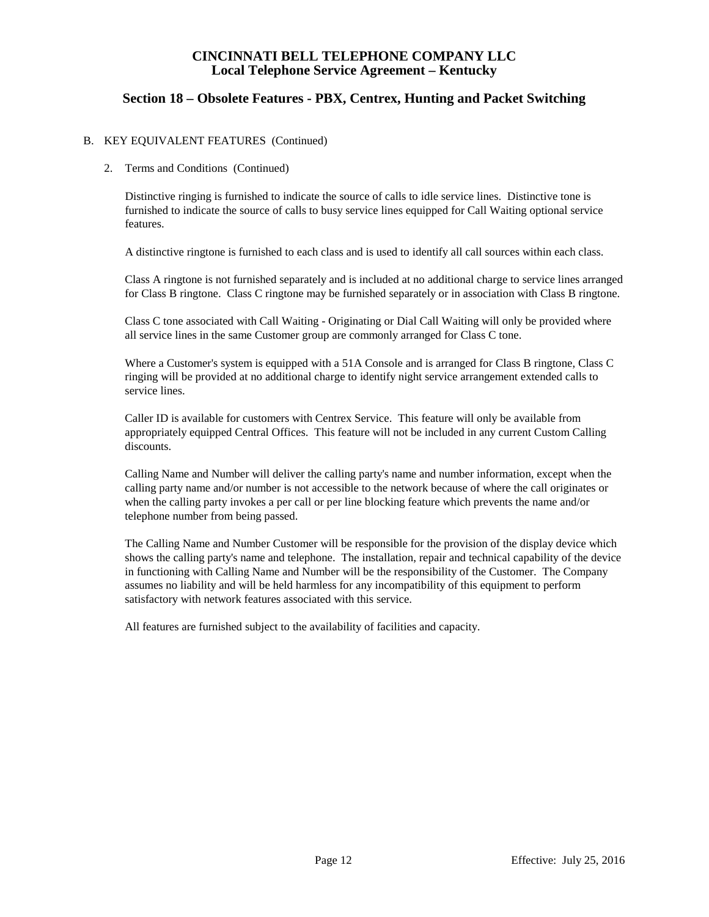## **Section 18 – Obsolete Features - PBX, Centrex, Hunting and Packet Switching**

### B. KEY EQUIVALENT FEATURES (Continued)

#### 2. Terms and Conditions (Continued)

Distinctive ringing is furnished to indicate the source of calls to idle service lines. Distinctive tone is furnished to indicate the source of calls to busy service lines equipped for Call Waiting optional service features.

A distinctive ringtone is furnished to each class and is used to identify all call sources within each class.

Class A ringtone is not furnished separately and is included at no additional charge to service lines arranged for Class B ringtone. Class C ringtone may be furnished separately or in association with Class B ringtone.

Class C tone associated with Call Waiting - Originating or Dial Call Waiting will only be provided where all service lines in the same Customer group are commonly arranged for Class C tone.

Where a Customer's system is equipped with a 51A Console and is arranged for Class B ringtone, Class C ringing will be provided at no additional charge to identify night service arrangement extended calls to service lines.

Caller ID is available for customers with Centrex Service. This feature will only be available from appropriately equipped Central Offices. This feature will not be included in any current Custom Calling discounts.

Calling Name and Number will deliver the calling party's name and number information, except when the calling party name and/or number is not accessible to the network because of where the call originates or when the calling party invokes a per call or per line blocking feature which prevents the name and/or telephone number from being passed.

The Calling Name and Number Customer will be responsible for the provision of the display device which shows the calling party's name and telephone. The installation, repair and technical capability of the device in functioning with Calling Name and Number will be the responsibility of the Customer. The Company assumes no liability and will be held harmless for any incompatibility of this equipment to perform satisfactory with network features associated with this service.

All features are furnished subject to the availability of facilities and capacity.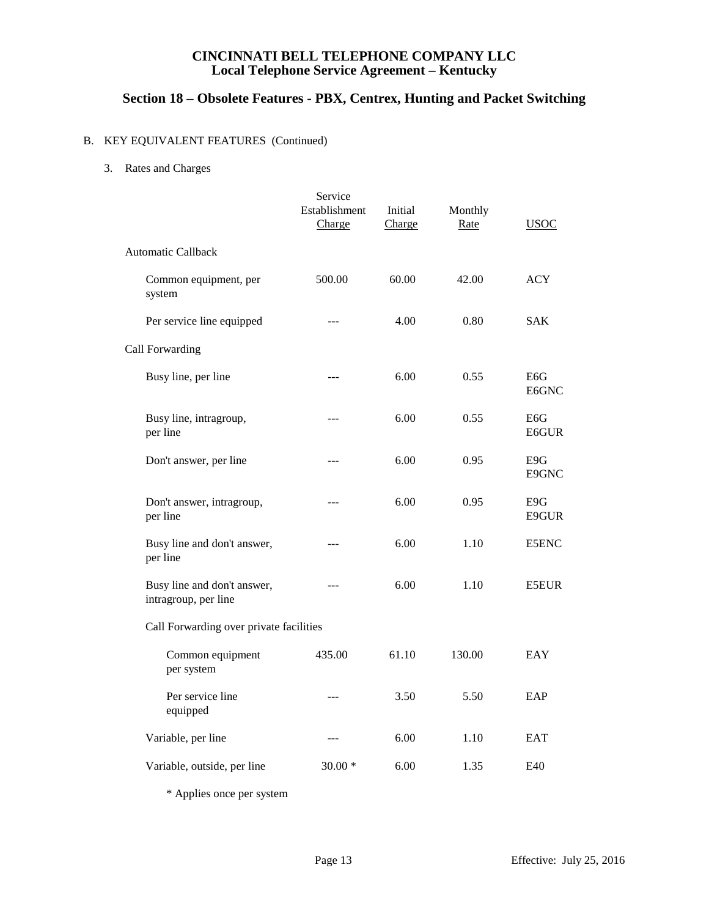# **Section 18 – Obsolete Features - PBX, Centrex, Hunting and Packet Switching**

# B. KEY EQUIVALENT FEATURES (Continued)

#### 3. Rates and Charges

|                                                     | Service<br>Establishment<br>Charge | Initial<br>Charge | Monthly<br>Rate | <b>USOC</b>               |
|-----------------------------------------------------|------------------------------------|-------------------|-----------------|---------------------------|
| <b>Automatic Callback</b>                           |                                    |                   |                 |                           |
| Common equipment, per<br>system                     | 500.00                             | 60.00             | 42.00           | <b>ACY</b>                |
| Per service line equipped                           | ---                                | 4.00              | 0.80            | <b>SAK</b>                |
| Call Forwarding                                     |                                    |                   |                 |                           |
| Busy line, per line                                 | ---                                | 6.00              | 0.55            | E <sub>6</sub> G<br>E6GNC |
| Busy line, intragroup,<br>per line                  | ---                                | 6.00              | 0.55            | E <sub>6</sub> G<br>E6GUR |
| Don't answer, per line                              | ---                                | 6.00              | 0.95            | E9G<br>E9GNC              |
| Don't answer, intragroup,<br>per line               | ---                                | 6.00              | 0.95            | E9G<br>E9GUR              |
| Busy line and don't answer,<br>per line             | $---$                              | 6.00              | 1.10            | <b>E5ENC</b>              |
| Busy line and don't answer,<br>intragroup, per line | ---                                | 6.00              | 1.10            | <b>E5EUR</b>              |
| Call Forwarding over private facilities             |                                    |                   |                 |                           |
| Common equipment<br>per system                      | 435.00                             | 61.10             | 130.00          | EAY                       |
| Per service line<br>equipped                        | ---                                | 3.50              | 5.50            | EAP                       |
| Variable, per line                                  | $---$                              | 6.00              | 1.10            | <b>EAT</b>                |
| Variable, outside, per line                         | $30.00*$                           | 6.00              | 1.35            | E40                       |
| $\cdot$ $\cdot$                                     |                                    |                   |                 |                           |

\* Applies once per system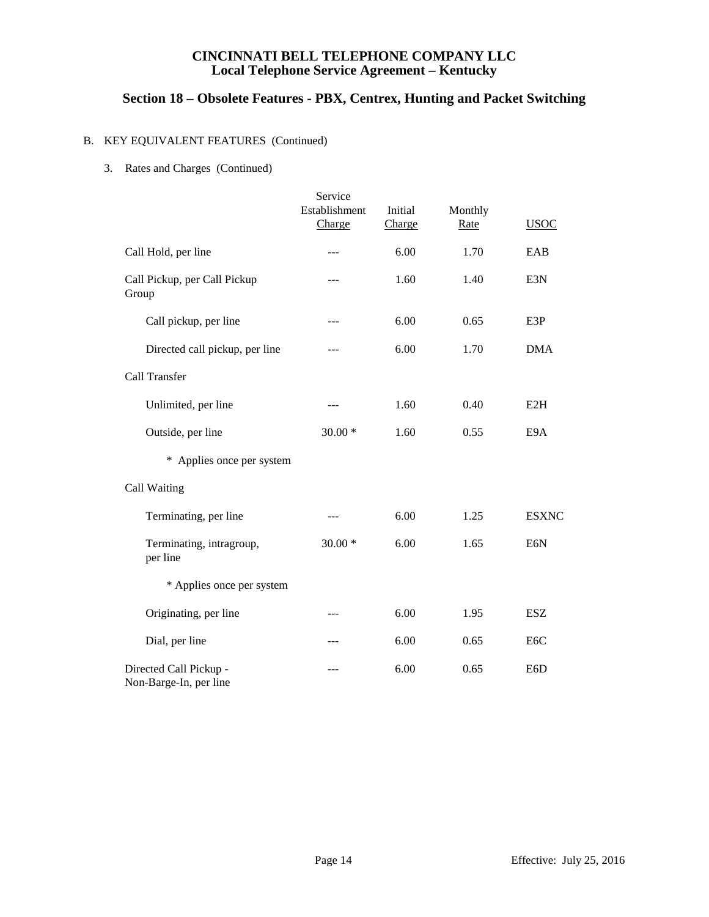# **Section 18 – Obsolete Features - PBX, Centrex, Hunting and Packet Switching**

# B. KEY EQUIVALENT FEATURES (Continued)

#### 3. Rates and Charges (Continued)

|                                                  | Service                 |                   |                 |                  |
|--------------------------------------------------|-------------------------|-------------------|-----------------|------------------|
|                                                  | Establishment<br>Charge | Initial<br>Charge | Monthly<br>Rate | <b>USOC</b>      |
| Call Hold, per line                              | ---                     | 6.00              | 1.70            | EAB              |
| Call Pickup, per Call Pickup<br>Group            |                         | 1.60              | 1.40            | E3N              |
| Call pickup, per line                            | ---                     | 6.00              | 0.65            | E3P              |
| Directed call pickup, per line                   |                         | 6.00              | 1.70            | <b>DMA</b>       |
| Call Transfer                                    |                         |                   |                 |                  |
| Unlimited, per line                              |                         | 1.60              | 0.40            | E2H              |
| Outside, per line                                | $30.00*$                | 1.60              | 0.55            | E9A              |
| * Applies once per system                        |                         |                   |                 |                  |
| Call Waiting                                     |                         |                   |                 |                  |
| Terminating, per line                            | ---                     | 6.00              | 1.25            | <b>ESXNC</b>     |
| Terminating, intragroup,<br>per line             | $30.00*$                | 6.00              | 1.65            | E6N              |
| * Applies once per system                        |                         |                   |                 |                  |
| Originating, per line                            | ---                     | 6.00              | 1.95            | <b>ESZ</b>       |
| Dial, per line                                   |                         | 6.00              | 0.65            | E <sub>6</sub> C |
| Directed Call Pickup -<br>Non-Barge-In, per line |                         | 6.00              | 0.65            | E6D              |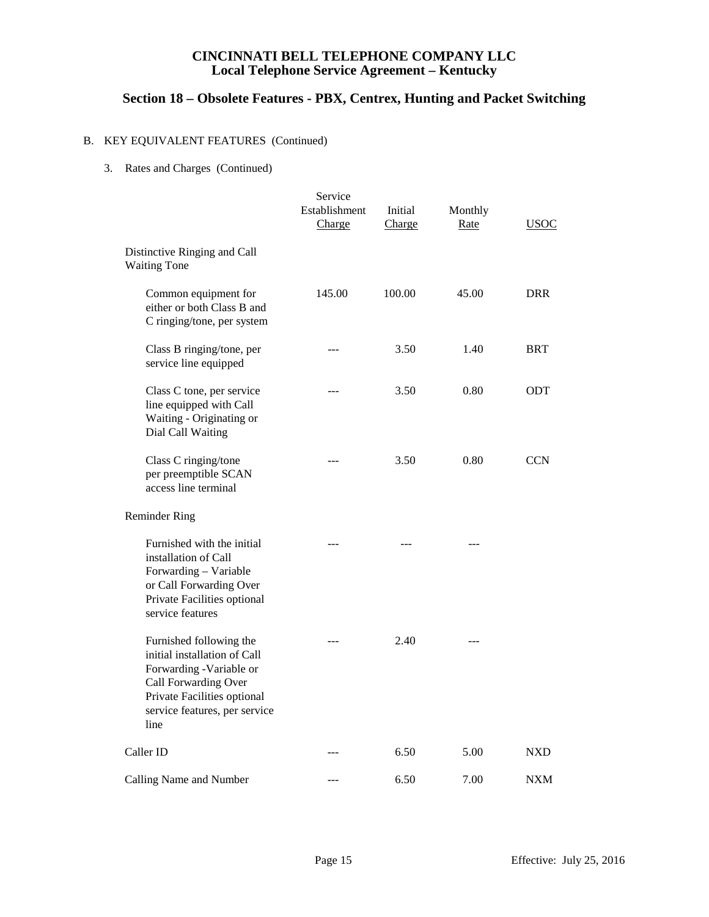# **Section 18 – Obsolete Features - PBX, Centrex, Hunting and Packet Switching**

# B. KEY EQUIVALENT FEATURES (Continued)

#### 3. Rates and Charges (Continued)

|                                                                                                                                                                                    | Service<br>Establishment<br>Charge | Initial<br>Charge | Monthly<br><b>Rate</b> | <u>USOC</u> |
|------------------------------------------------------------------------------------------------------------------------------------------------------------------------------------|------------------------------------|-------------------|------------------------|-------------|
| Distinctive Ringing and Call<br><b>Waiting Tone</b>                                                                                                                                |                                    |                   |                        |             |
| Common equipment for<br>either or both Class B and<br>C ringing/tone, per system                                                                                                   | 145.00                             | 100.00            | 45.00                  | <b>DRR</b>  |
| Class B ringing/tone, per<br>service line equipped                                                                                                                                 |                                    | 3.50              | 1.40                   | <b>BRT</b>  |
| Class C tone, per service<br>line equipped with Call<br>Waiting - Originating or<br>Dial Call Waiting                                                                              |                                    | 3.50              | 0.80                   | <b>ODT</b>  |
| Class C ringing/tone<br>per preemptible SCAN<br>access line terminal                                                                                                               |                                    | 3.50              | 0.80                   | <b>CCN</b>  |
| <b>Reminder Ring</b>                                                                                                                                                               |                                    |                   |                        |             |
| Furnished with the initial<br>installation of Call<br>Forwarding - Variable<br>or Call Forwarding Over<br>Private Facilities optional<br>service features                          |                                    |                   |                        |             |
| Furnished following the<br>initial installation of Call<br>Forwarding -Variable or<br>Call Forwarding Over<br>Private Facilities optional<br>service features, per service<br>line |                                    | 2.40              |                        |             |
| Caller ID                                                                                                                                                                          |                                    | 6.50              | 5.00                   | <b>NXD</b>  |
| Calling Name and Number                                                                                                                                                            |                                    | 6.50              | 7.00                   | <b>NXM</b>  |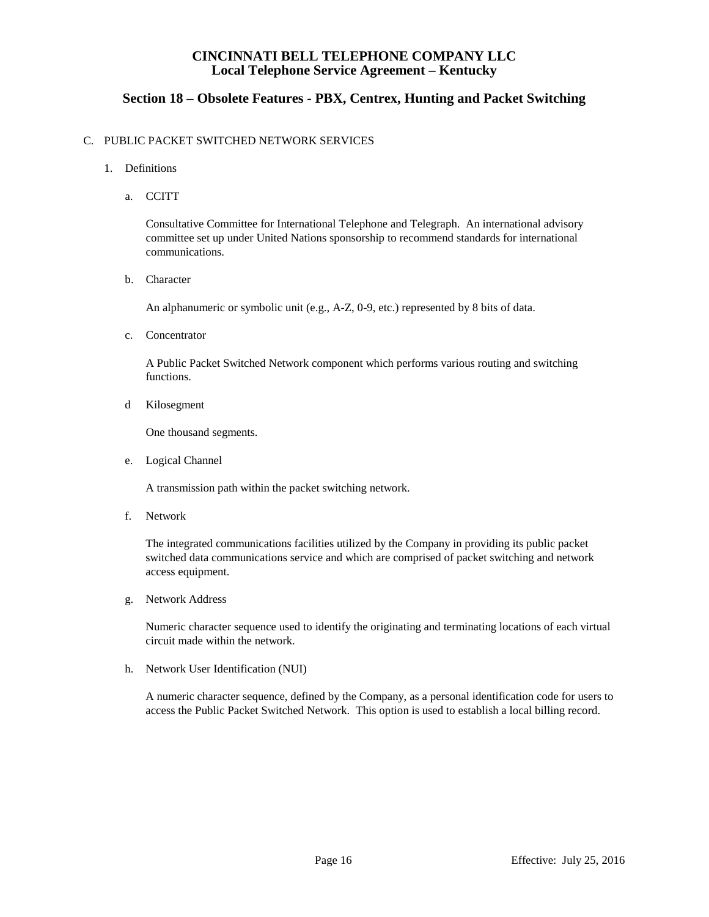# **Section 18 – Obsolete Features - PBX, Centrex, Hunting and Packet Switching**

#### C. PUBLIC PACKET SWITCHED NETWORK SERVICES

- 1. Definitions
	- a. CCITT

Consultative Committee for International Telephone and Telegraph. An international advisory committee set up under United Nations sponsorship to recommend standards for international communications.

b. Character

An alphanumeric or symbolic unit (e.g., A-Z, 0-9, etc.) represented by 8 bits of data.

c. Concentrator

A Public Packet Switched Network component which performs various routing and switching functions.

d Kilosegment

One thousand segments.

e. Logical Channel

A transmission path within the packet switching network.

f. Network

The integrated communications facilities utilized by the Company in providing its public packet switched data communications service and which are comprised of packet switching and network access equipment.

g. Network Address

Numeric character sequence used to identify the originating and terminating locations of each virtual circuit made within the network.

h. Network User Identification (NUI)

A numeric character sequence, defined by the Company, as a personal identification code for users to access the Public Packet Switched Network. This option is used to establish a local billing record.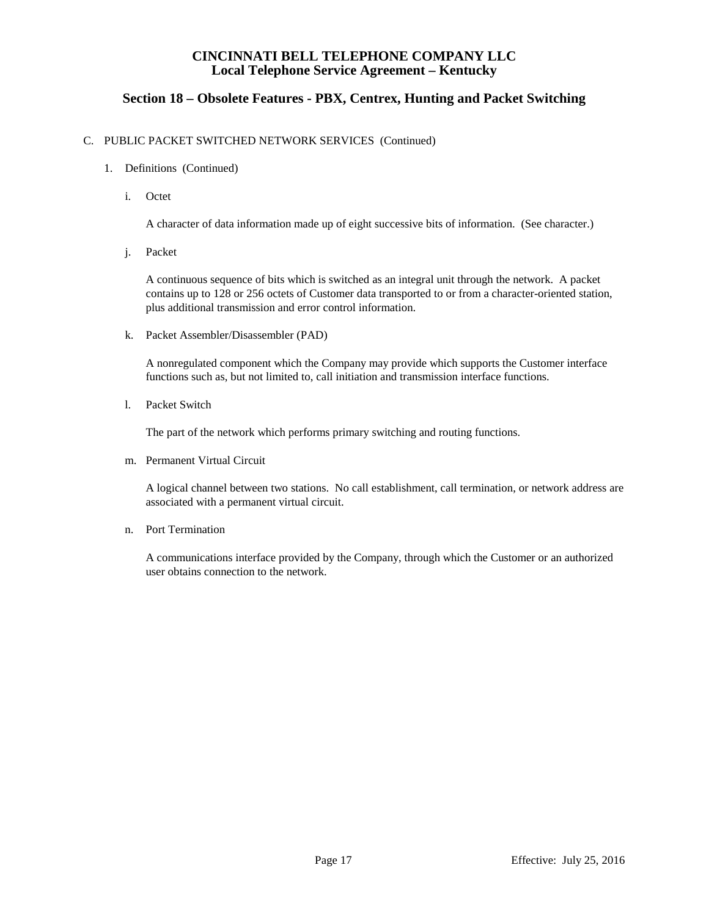# **Section 18 – Obsolete Features - PBX, Centrex, Hunting and Packet Switching**

#### C. PUBLIC PACKET SWITCHED NETWORK SERVICES (Continued)

- 1. Definitions (Continued)
	- i. Octet

A character of data information made up of eight successive bits of information. (See character.)

j. Packet

A continuous sequence of bits which is switched as an integral unit through the network. A packet contains up to 128 or 256 octets of Customer data transported to or from a character-oriented station, plus additional transmission and error control information.

k. Packet Assembler/Disassembler (PAD)

A nonregulated component which the Company may provide which supports the Customer interface functions such as, but not limited to, call initiation and transmission interface functions.

l. Packet Switch

The part of the network which performs primary switching and routing functions.

m. Permanent Virtual Circuit

A logical channel between two stations. No call establishment, call termination, or network address are associated with a permanent virtual circuit.

n. Port Termination

A communications interface provided by the Company, through which the Customer or an authorized user obtains connection to the network.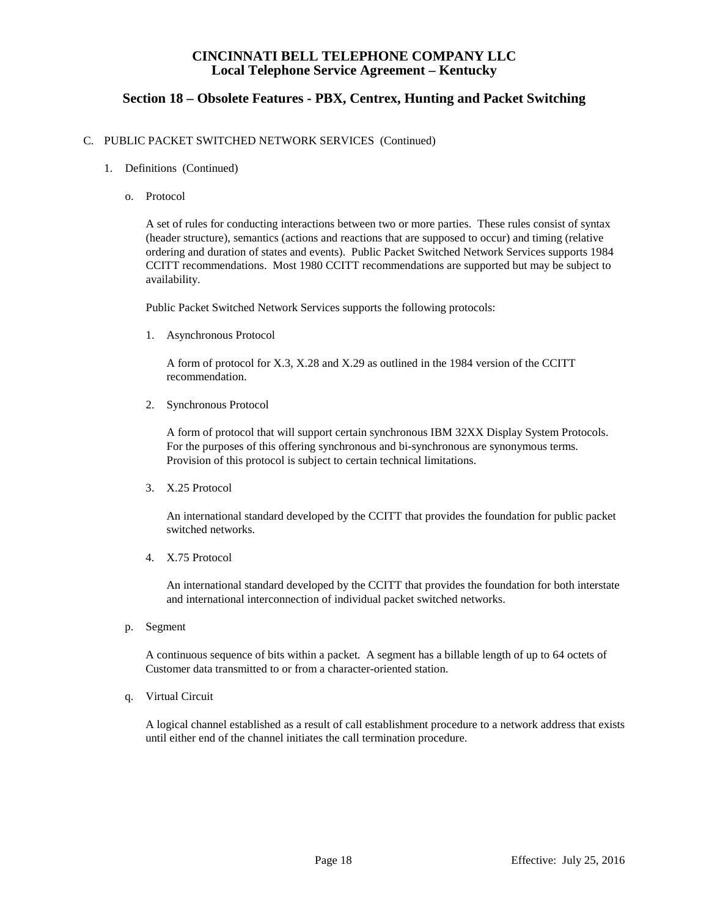# **Section 18 – Obsolete Features - PBX, Centrex, Hunting and Packet Switching**

#### C. PUBLIC PACKET SWITCHED NETWORK SERVICES (Continued)

- 1. Definitions (Continued)
	- o. Protocol

A set of rules for conducting interactions between two or more parties. These rules consist of syntax (header structure), semantics (actions and reactions that are supposed to occur) and timing (relative ordering and duration of states and events). Public Packet Switched Network Services supports 1984 CCITT recommendations. Most 1980 CCITT recommendations are supported but may be subject to availability.

Public Packet Switched Network Services supports the following protocols:

1. Asynchronous Protocol

A form of protocol for X.3, X.28 and X.29 as outlined in the 1984 version of the CCITT recommendation.

2. Synchronous Protocol

A form of protocol that will support certain synchronous IBM 32XX Display System Protocols. For the purposes of this offering synchronous and bi-synchronous are synonymous terms. Provision of this protocol is subject to certain technical limitations.

3. X.25 Protocol

An international standard developed by the CCITT that provides the foundation for public packet switched networks.

4. X.75 Protocol

An international standard developed by the CCITT that provides the foundation for both interstate and international interconnection of individual packet switched networks.

p. Segment

A continuous sequence of bits within a packet. A segment has a billable length of up to 64 octets of Customer data transmitted to or from a character-oriented station.

q. Virtual Circuit

A logical channel established as a result of call establishment procedure to a network address that exists until either end of the channel initiates the call termination procedure.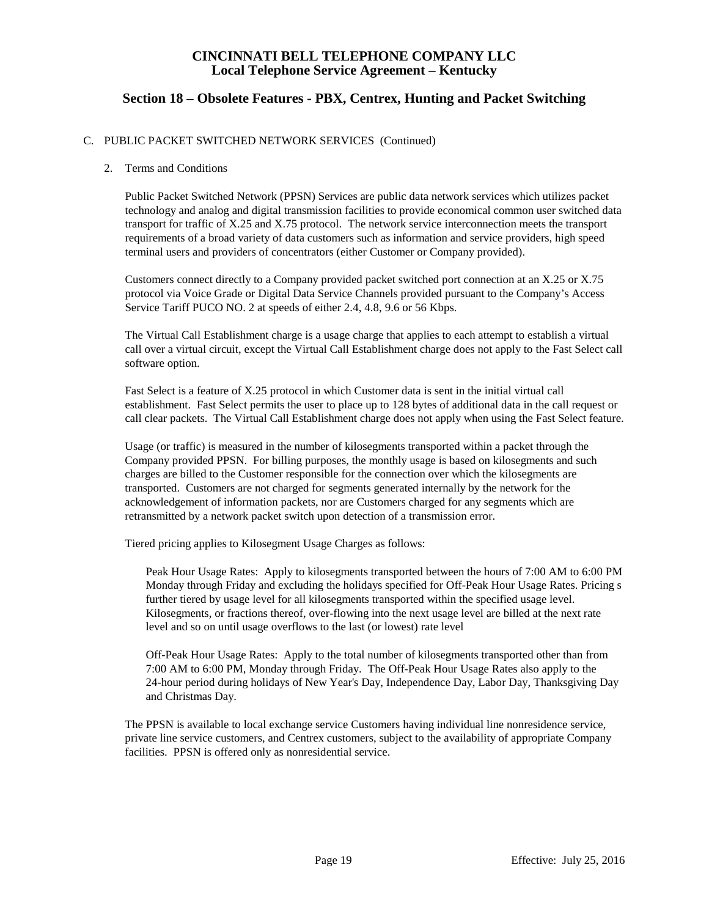# **Section 18 – Obsolete Features - PBX, Centrex, Hunting and Packet Switching**

### C. PUBLIC PACKET SWITCHED NETWORK SERVICES (Continued)

#### 2. Terms and Conditions

Public Packet Switched Network (PPSN) Services are public data network services which utilizes packet technology and analog and digital transmission facilities to provide economical common user switched data transport for traffic of X.25 and X.75 protocol. The network service interconnection meets the transport requirements of a broad variety of data customers such as information and service providers, high speed terminal users and providers of concentrators (either Customer or Company provided).

Customers connect directly to a Company provided packet switched port connection at an X.25 or X.75 protocol via Voice Grade or Digital Data Service Channels provided pursuant to the Company's Access Service Tariff PUCO NO. 2 at speeds of either 2.4, 4.8, 9.6 or 56 Kbps.

The Virtual Call Establishment charge is a usage charge that applies to each attempt to establish a virtual call over a virtual circuit, except the Virtual Call Establishment charge does not apply to the Fast Select call software option.

Fast Select is a feature of X.25 protocol in which Customer data is sent in the initial virtual call establishment. Fast Select permits the user to place up to 128 bytes of additional data in the call request or call clear packets. The Virtual Call Establishment charge does not apply when using the Fast Select feature.

Usage (or traffic) is measured in the number of kilosegments transported within a packet through the Company provided PPSN. For billing purposes, the monthly usage is based on kilosegments and such charges are billed to the Customer responsible for the connection over which the kilosegments are transported. Customers are not charged for segments generated internally by the network for the acknowledgement of information packets, nor are Customers charged for any segments which are retransmitted by a network packet switch upon detection of a transmission error.

Tiered pricing applies to Kilosegment Usage Charges as follows:

Peak Hour Usage Rates: Apply to kilosegments transported between the hours of 7:00 AM to 6:00 PM Monday through Friday and excluding the holidays specified for Off-Peak Hour Usage Rates. Pricing s further tiered by usage level for all kilosegments transported within the specified usage level. Kilosegments, or fractions thereof, over-flowing into the next usage level are billed at the next rate level and so on until usage overflows to the last (or lowest) rate level

Off-Peak Hour Usage Rates: Apply to the total number of kilosegments transported other than from 7:00 AM to 6:00 PM, Monday through Friday. The Off-Peak Hour Usage Rates also apply to the 24-hour period during holidays of New Year's Day, Independence Day, Labor Day, Thanksgiving Day and Christmas Day.

The PPSN is available to local exchange service Customers having individual line nonresidence service, private line service customers, and Centrex customers, subject to the availability of appropriate Company facilities. PPSN is offered only as nonresidential service.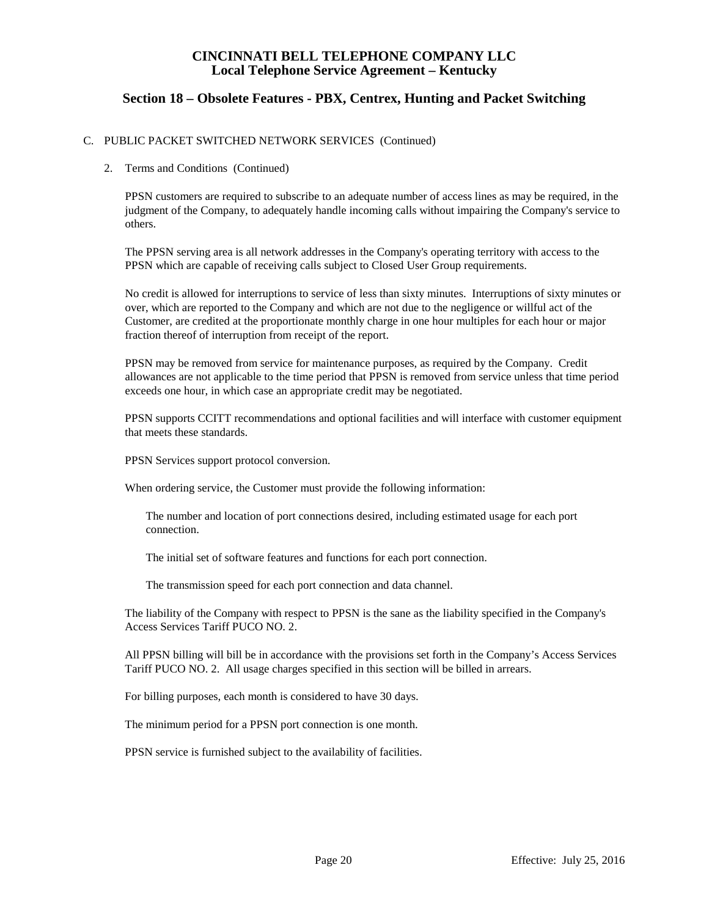## **Section 18 – Obsolete Features - PBX, Centrex, Hunting and Packet Switching**

### C. PUBLIC PACKET SWITCHED NETWORK SERVICES (Continued)

2. Terms and Conditions (Continued)

PPSN customers are required to subscribe to an adequate number of access lines as may be required, in the judgment of the Company, to adequately handle incoming calls without impairing the Company's service to others.

The PPSN serving area is all network addresses in the Company's operating territory with access to the PPSN which are capable of receiving calls subject to Closed User Group requirements.

No credit is allowed for interruptions to service of less than sixty minutes. Interruptions of sixty minutes or over, which are reported to the Company and which are not due to the negligence or willful act of the Customer, are credited at the proportionate monthly charge in one hour multiples for each hour or major fraction thereof of interruption from receipt of the report.

PPSN may be removed from service for maintenance purposes, as required by the Company. Credit allowances are not applicable to the time period that PPSN is removed from service unless that time period exceeds one hour, in which case an appropriate credit may be negotiated.

PPSN supports CCITT recommendations and optional facilities and will interface with customer equipment that meets these standards.

PPSN Services support protocol conversion.

When ordering service, the Customer must provide the following information:

The number and location of port connections desired, including estimated usage for each port connection.

The initial set of software features and functions for each port connection.

The transmission speed for each port connection and data channel.

The liability of the Company with respect to PPSN is the sane as the liability specified in the Company's Access Services Tariff PUCO NO. 2.

All PPSN billing will bill be in accordance with the provisions set forth in the Company's Access Services Tariff PUCO NO. 2. All usage charges specified in this section will be billed in arrears.

For billing purposes, each month is considered to have 30 days.

The minimum period for a PPSN port connection is one month.

PPSN service is furnished subject to the availability of facilities.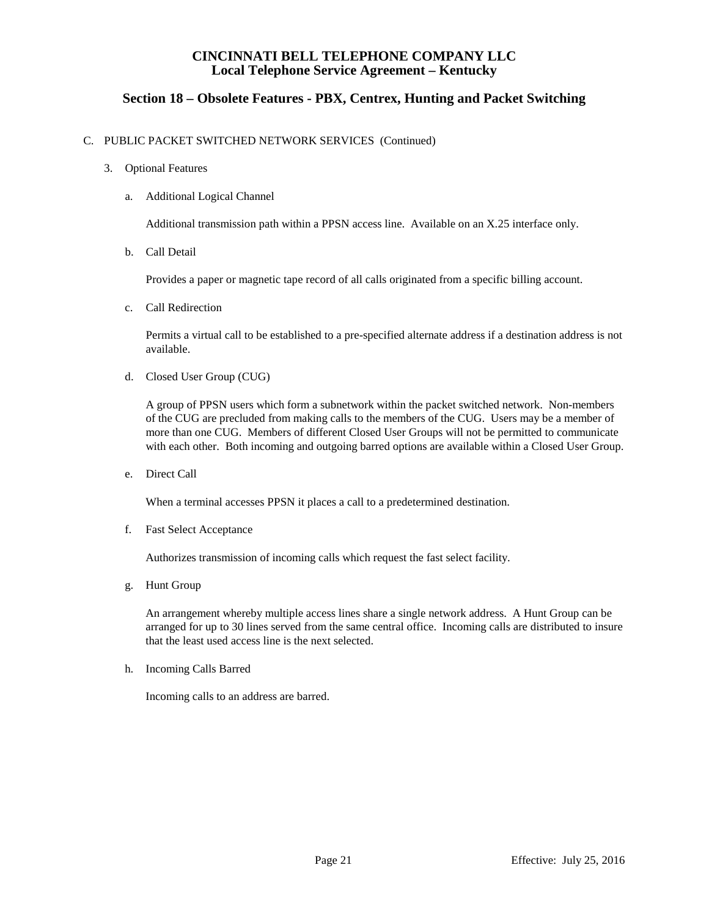# **Section 18 – Obsolete Features - PBX, Centrex, Hunting and Packet Switching**

### C. PUBLIC PACKET SWITCHED NETWORK SERVICES (Continued)

#### 3. Optional Features

#### a. Additional Logical Channel

Additional transmission path within a PPSN access line. Available on an X.25 interface only.

b. Call Detail

Provides a paper or magnetic tape record of all calls originated from a specific billing account.

c. Call Redirection

Permits a virtual call to be established to a pre-specified alternate address if a destination address is not available.

d. Closed User Group (CUG)

A group of PPSN users which form a subnetwork within the packet switched network. Non-members of the CUG are precluded from making calls to the members of the CUG. Users may be a member of more than one CUG. Members of different Closed User Groups will not be permitted to communicate with each other. Both incoming and outgoing barred options are available within a Closed User Group.

e. Direct Call

When a terminal accesses PPSN it places a call to a predetermined destination.

f. Fast Select Acceptance

Authorizes transmission of incoming calls which request the fast select facility.

g. Hunt Group

An arrangement whereby multiple access lines share a single network address. A Hunt Group can be arranged for up to 30 lines served from the same central office. Incoming calls are distributed to insure that the least used access line is the next selected.

h. Incoming Calls Barred

Incoming calls to an address are barred.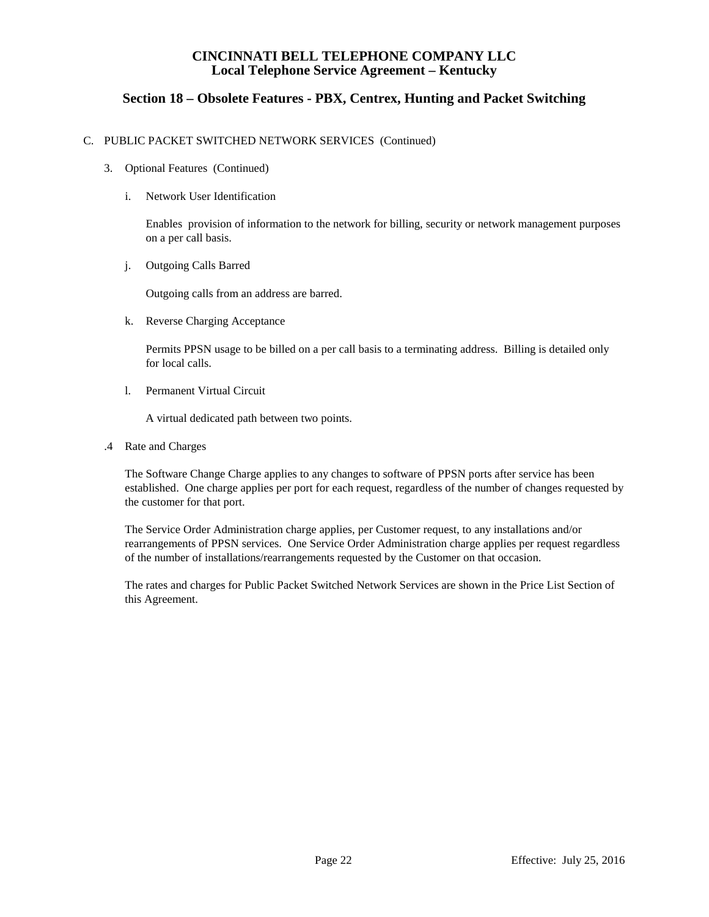# **Section 18 – Obsolete Features - PBX, Centrex, Hunting and Packet Switching**

#### C. PUBLIC PACKET SWITCHED NETWORK SERVICES (Continued)

- 3. Optional Features (Continued)
	- i. Network User Identification

Enables provision of information to the network for billing, security or network management purposes on a per call basis.

j. Outgoing Calls Barred

Outgoing calls from an address are barred.

k. Reverse Charging Acceptance

Permits PPSN usage to be billed on a per call basis to a terminating address. Billing is detailed only for local calls.

l. Permanent Virtual Circuit

A virtual dedicated path between two points.

.4 Rate and Charges

The Software Change Charge applies to any changes to software of PPSN ports after service has been established. One charge applies per port for each request, regardless of the number of changes requested by the customer for that port.

The Service Order Administration charge applies, per Customer request, to any installations and/or rearrangements of PPSN services. One Service Order Administration charge applies per request regardless of the number of installations/rearrangements requested by the Customer on that occasion.

The rates and charges for Public Packet Switched Network Services are shown in the Price List Section of this Agreement.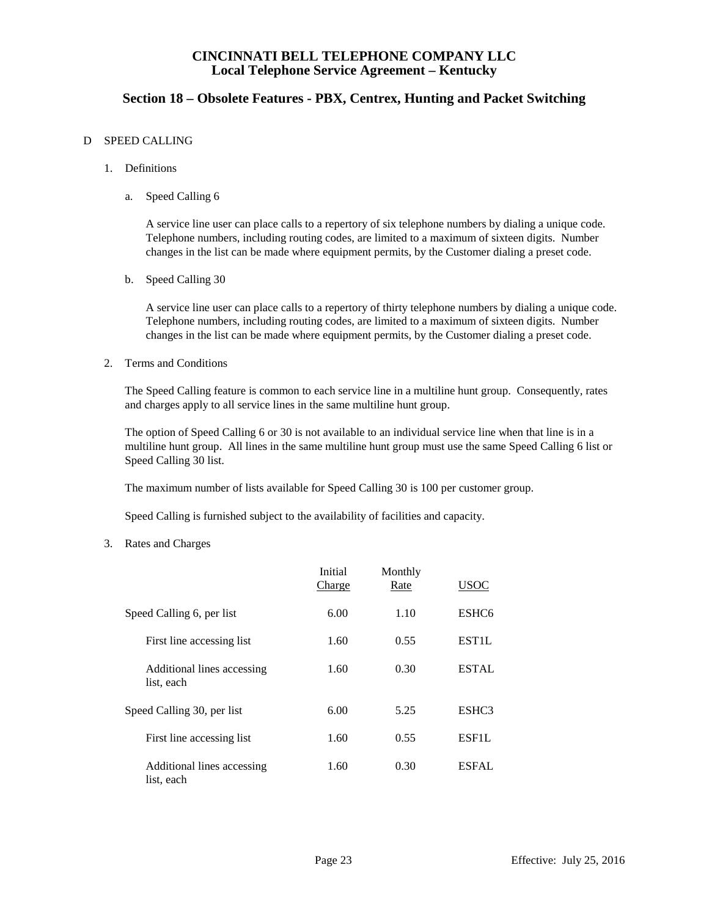# **Section 18 – Obsolete Features - PBX, Centrex, Hunting and Packet Switching**

#### D SPEED CALLING

- 1. Definitions
	- a. Speed Calling 6

A service line user can place calls to a repertory of six telephone numbers by dialing a unique code. Telephone numbers, including routing codes, are limited to a maximum of sixteen digits. Number changes in the list can be made where equipment permits, by the Customer dialing a preset code.

b. Speed Calling 30

A service line user can place calls to a repertory of thirty telephone numbers by dialing a unique code. Telephone numbers, including routing codes, are limited to a maximum of sixteen digits. Number changes in the list can be made where equipment permits, by the Customer dialing a preset code.

2. Terms and Conditions

The Speed Calling feature is common to each service line in a multiline hunt group. Consequently, rates and charges apply to all service lines in the same multiline hunt group.

The option of Speed Calling 6 or 30 is not available to an individual service line when that line is in a multiline hunt group. All lines in the same multiline hunt group must use the same Speed Calling 6 list or Speed Calling 30 list.

The maximum number of lists available for Speed Calling 30 is 100 per customer group.

Speed Calling is furnished subject to the availability of facilities and capacity.

3. Rates and Charges

|                                          | Initial<br>Charge | Monthly<br>Rate | USOC               |
|------------------------------------------|-------------------|-----------------|--------------------|
| Speed Calling 6, per list                | 6.00              | 1.10            | ESHC <sub>6</sub>  |
| First line accessing list                | 1.60              | 0.55            | EST <sub>1</sub> L |
| Additional lines accessing<br>list, each | 1.60              | 0.30            | <b>ESTAL</b>       |
| Speed Calling 30, per list               | 6.00              | 5.25            | ESHC <sub>3</sub>  |
| First line accessing list                | 1.60              | 0.55            | ESF1L              |
| Additional lines accessing<br>list, each | 1.60              | 0.30            | <b>ESFAL</b>       |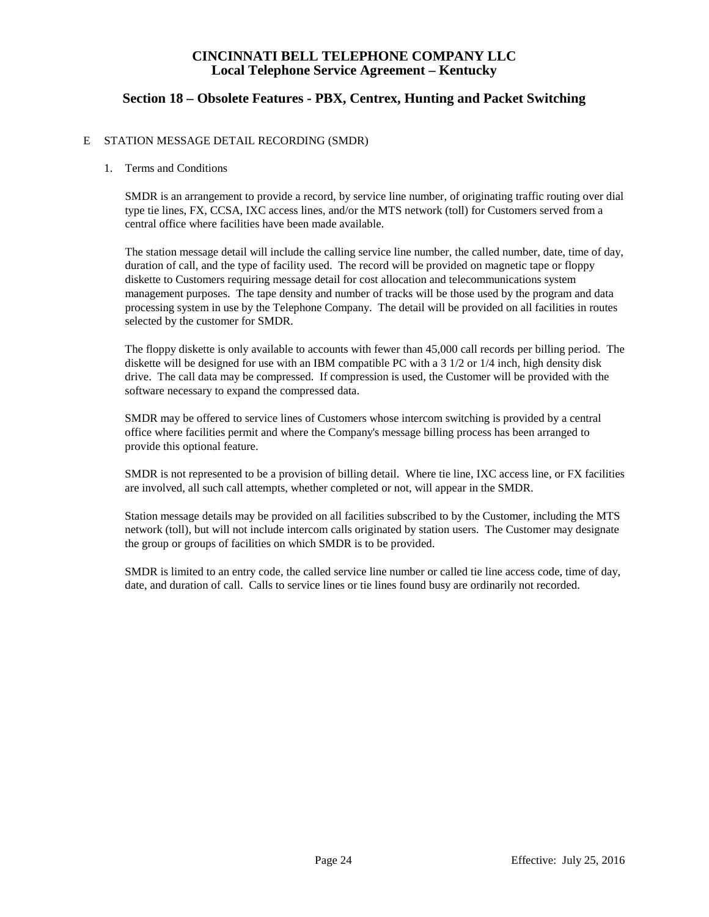# **Section 18 – Obsolete Features - PBX, Centrex, Hunting and Packet Switching**

#### E STATION MESSAGE DETAIL RECORDING (SMDR)

#### 1. Terms and Conditions

SMDR is an arrangement to provide a record, by service line number, of originating traffic routing over dial type tie lines, FX, CCSA, IXC access lines, and/or the MTS network (toll) for Customers served from a central office where facilities have been made available.

The station message detail will include the calling service line number, the called number, date, time of day, duration of call, and the type of facility used. The record will be provided on magnetic tape or floppy diskette to Customers requiring message detail for cost allocation and telecommunications system management purposes. The tape density and number of tracks will be those used by the program and data processing system in use by the Telephone Company. The detail will be provided on all facilities in routes selected by the customer for SMDR.

The floppy diskette is only available to accounts with fewer than 45,000 call records per billing period. The diskette will be designed for use with an IBM compatible PC with a 3 1/2 or 1/4 inch, high density disk drive. The call data may be compressed. If compression is used, the Customer will be provided with the software necessary to expand the compressed data.

SMDR may be offered to service lines of Customers whose intercom switching is provided by a central office where facilities permit and where the Company's message billing process has been arranged to provide this optional feature.

SMDR is not represented to be a provision of billing detail. Where tie line, IXC access line, or FX facilities are involved, all such call attempts, whether completed or not, will appear in the SMDR.

Station message details may be provided on all facilities subscribed to by the Customer, including the MTS network (toll), but will not include intercom calls originated by station users. The Customer may designate the group or groups of facilities on which SMDR is to be provided.

SMDR is limited to an entry code, the called service line number or called tie line access code, time of day, date, and duration of call. Calls to service lines or tie lines found busy are ordinarily not recorded.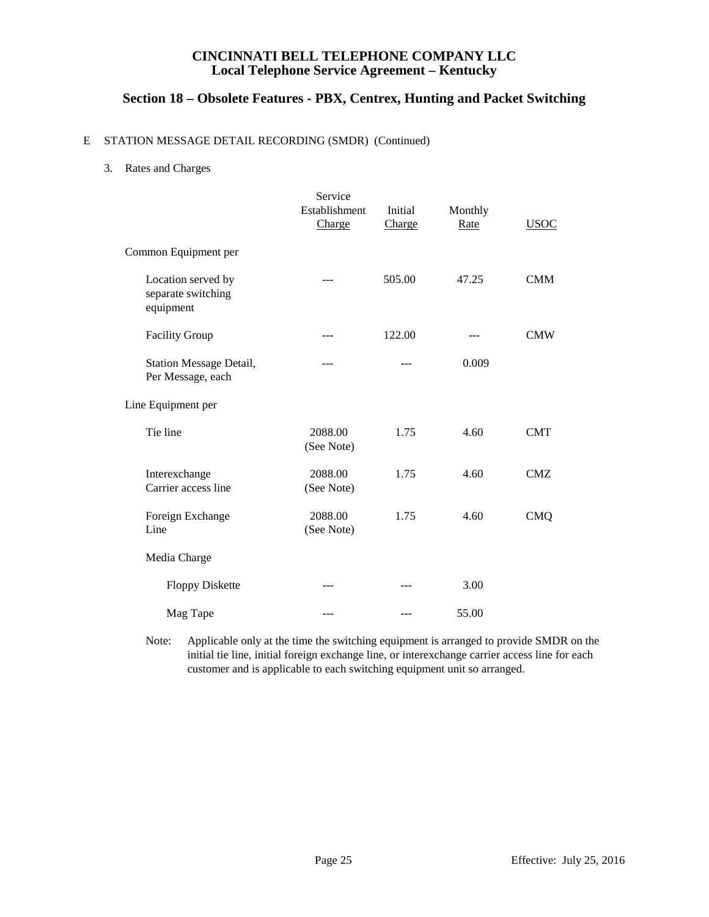# **Section 18 – Obsolete Features - PBX, Centrex, Hunting and Packet Switching**

### E STATION MESSAGE DETAIL RECORDING (SMDR) (Continued)

3. Rates and Charges

|                                                       | Service<br>Establishment<br>Charge | Initial<br>Charge | Monthly<br>Rate | <b>USOC</b> |
|-------------------------------------------------------|------------------------------------|-------------------|-----------------|-------------|
| Common Equipment per                                  |                                    |                   |                 |             |
| Location served by<br>separate switching<br>equipment | ---                                | 505.00            | 47.25           | <b>CMM</b>  |
| <b>Facility Group</b>                                 | $---$                              | 122.00            | ---             | <b>CMW</b>  |
| <b>Station Message Detail,</b><br>Per Message, each   | ---                                | ---               | 0.009           |             |
| Line Equipment per                                    |                                    |                   |                 |             |
| Tie line                                              | 2088.00<br>(See Note)              | 1.75              | 4.60            | <b>CMT</b>  |
| Interexchange<br>Carrier access line                  | 2088.00<br>(See Note)              | 1.75              | 4.60            | <b>CMZ</b>  |
| Foreign Exchange<br>Line                              | 2088.00<br>(See Note)              | 1.75              | 4.60            | <b>CMQ</b>  |
| Media Charge                                          |                                    |                   |                 |             |
| <b>Floppy Diskette</b>                                |                                    |                   | 3.00            |             |
| Mag Tape                                              | $- - -$                            | ---               | 55.00           |             |

Note: Applicable only at the time the switching equipment is arranged to provide SMDR on the initial tie line, initial foreign exchange line, or interexchange carrier access line for each customer and is applicable to each switching equipment unit so arranged.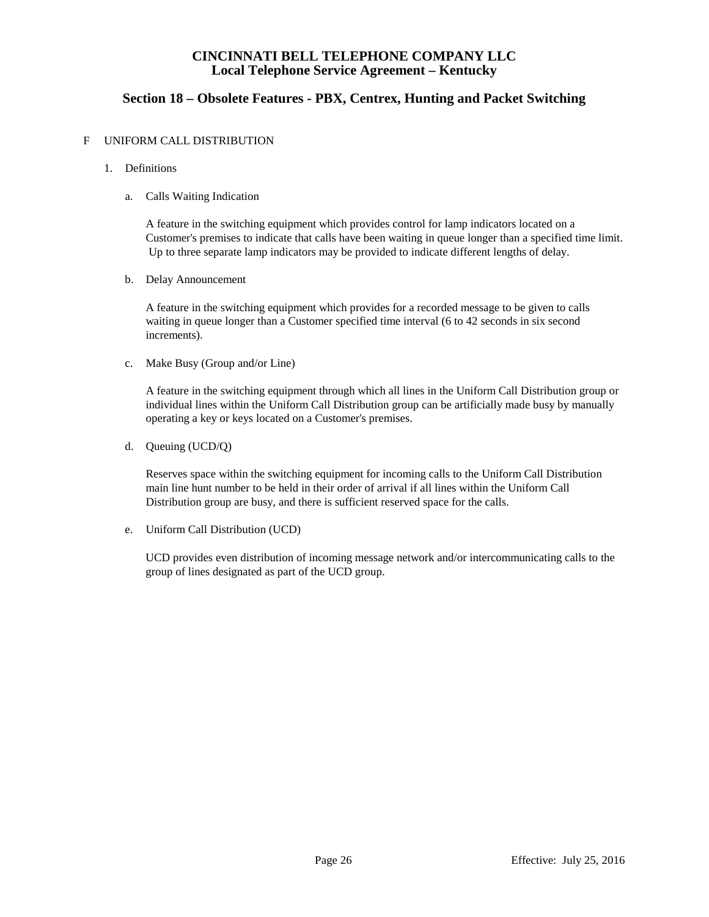# **Section 18 – Obsolete Features - PBX, Centrex, Hunting and Packet Switching**

### F UNIFORM CALL DISTRIBUTION

- 1. Definitions
	- a. Calls Waiting Indication

A feature in the switching equipment which provides control for lamp indicators located on a Customer's premises to indicate that calls have been waiting in queue longer than a specified time limit. Up to three separate lamp indicators may be provided to indicate different lengths of delay.

b. Delay Announcement

A feature in the switching equipment which provides for a recorded message to be given to calls waiting in queue longer than a Customer specified time interval (6 to 42 seconds in six second increments).

c. Make Busy (Group and/or Line)

A feature in the switching equipment through which all lines in the Uniform Call Distribution group or individual lines within the Uniform Call Distribution group can be artificially made busy by manually operating a key or keys located on a Customer's premises.

d. Queuing (UCD/Q)

Reserves space within the switching equipment for incoming calls to the Uniform Call Distribution main line hunt number to be held in their order of arrival if all lines within the Uniform Call Distribution group are busy, and there is sufficient reserved space for the calls.

e. Uniform Call Distribution (UCD)

UCD provides even distribution of incoming message network and/or intercommunicating calls to the group of lines designated as part of the UCD group.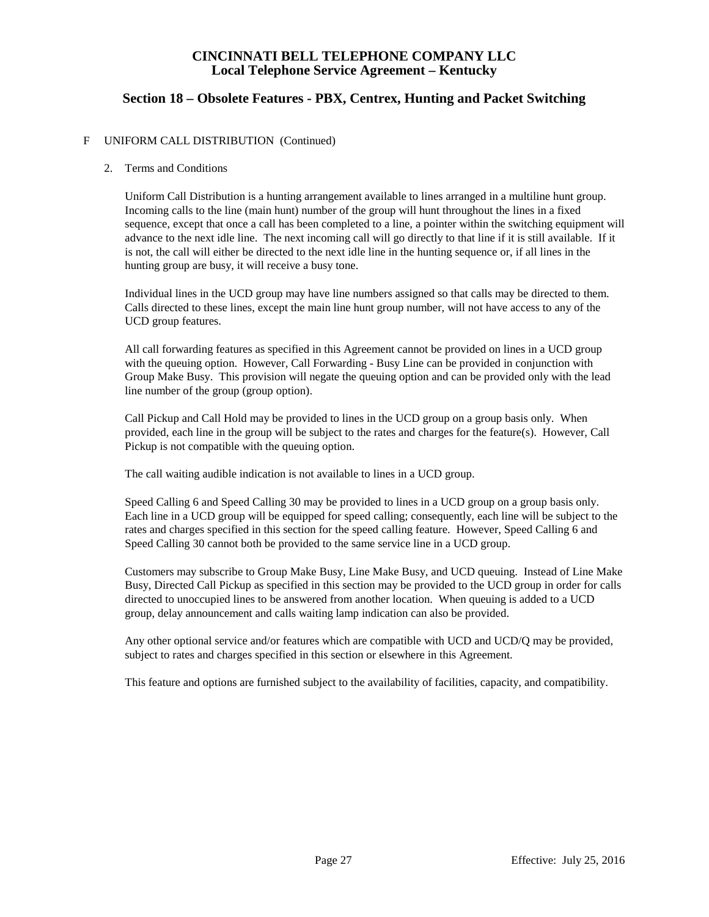# **Section 18 – Obsolete Features - PBX, Centrex, Hunting and Packet Switching**

#### F UNIFORM CALL DISTRIBUTION (Continued)

#### 2. Terms and Conditions

Uniform Call Distribution is a hunting arrangement available to lines arranged in a multiline hunt group. Incoming calls to the line (main hunt) number of the group will hunt throughout the lines in a fixed sequence, except that once a call has been completed to a line, a pointer within the switching equipment will advance to the next idle line. The next incoming call will go directly to that line if it is still available. If it is not, the call will either be directed to the next idle line in the hunting sequence or, if all lines in the hunting group are busy, it will receive a busy tone.

Individual lines in the UCD group may have line numbers assigned so that calls may be directed to them. Calls directed to these lines, except the main line hunt group number, will not have access to any of the UCD group features.

All call forwarding features as specified in this Agreement cannot be provided on lines in a UCD group with the queuing option. However, Call Forwarding - Busy Line can be provided in conjunction with Group Make Busy. This provision will negate the queuing option and can be provided only with the lead line number of the group (group option).

Call Pickup and Call Hold may be provided to lines in the UCD group on a group basis only. When provided, each line in the group will be subject to the rates and charges for the feature(s). However, Call Pickup is not compatible with the queuing option.

The call waiting audible indication is not available to lines in a UCD group.

Speed Calling 6 and Speed Calling 30 may be provided to lines in a UCD group on a group basis only. Each line in a UCD group will be equipped for speed calling; consequently, each line will be subject to the rates and charges specified in this section for the speed calling feature. However, Speed Calling 6 and Speed Calling 30 cannot both be provided to the same service line in a UCD group.

Customers may subscribe to Group Make Busy, Line Make Busy, and UCD queuing. Instead of Line Make Busy, Directed Call Pickup as specified in this section may be provided to the UCD group in order for calls directed to unoccupied lines to be answered from another location. When queuing is added to a UCD group, delay announcement and calls waiting lamp indication can also be provided.

Any other optional service and/or features which are compatible with UCD and UCD/Q may be provided, subject to rates and charges specified in this section or elsewhere in this Agreement.

This feature and options are furnished subject to the availability of facilities, capacity, and compatibility.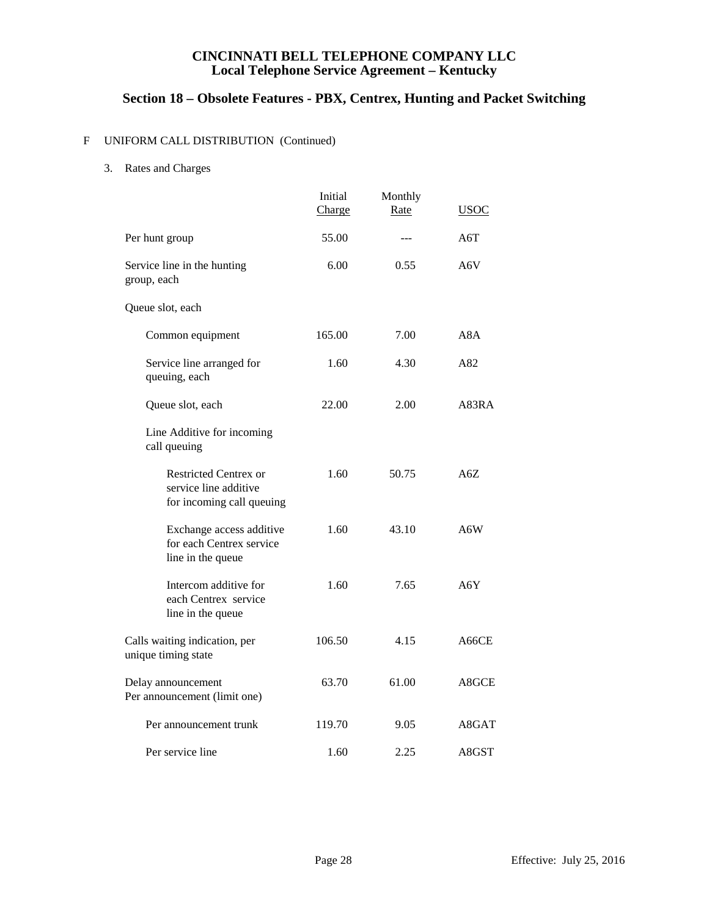# **Section 18 – Obsolete Features - PBX, Centrex, Hunting and Packet Switching**

## F UNIFORM CALL DISTRIBUTION (Continued)

3. Rates and Charges

|                                                                                    | Initial<br>Charge | Monthly<br>Rate | USOC  |
|------------------------------------------------------------------------------------|-------------------|-----------------|-------|
| Per hunt group                                                                     | 55.00             | $---$           | A6T   |
| Service line in the hunting<br>group, each                                         | 6.00              | 0.55            | A6V   |
| Queue slot, each                                                                   |                   |                 |       |
| Common equipment                                                                   | 165.00            | 7.00            | A8A   |
| Service line arranged for<br>queuing, each                                         | 1.60              | 4.30            | A82   |
| Queue slot, each                                                                   | 22.00             | 2.00            | A83RA |
| Line Additive for incoming<br>call queuing                                         |                   |                 |       |
| <b>Restricted Centrex or</b><br>service line additive<br>for incoming call queuing | 1.60              | 50.75           | A6Z   |
| Exchange access additive<br>for each Centrex service<br>line in the queue          | 1.60              | 43.10           | A6W   |
| Intercom additive for<br>each Centrex service<br>line in the queue                 | 1.60              | 7.65            | A6Y   |
| Calls waiting indication, per<br>unique timing state                               | 106.50            | 4.15            | A66CE |
| Delay announcement<br>Per announcement (limit one)                                 | 63.70             | 61.00           | A8GCE |
| Per announcement trunk                                                             | 119.70            | 9.05            | A8GAT |
| Per service line                                                                   | 1.60              | 2.25            | A8GST |